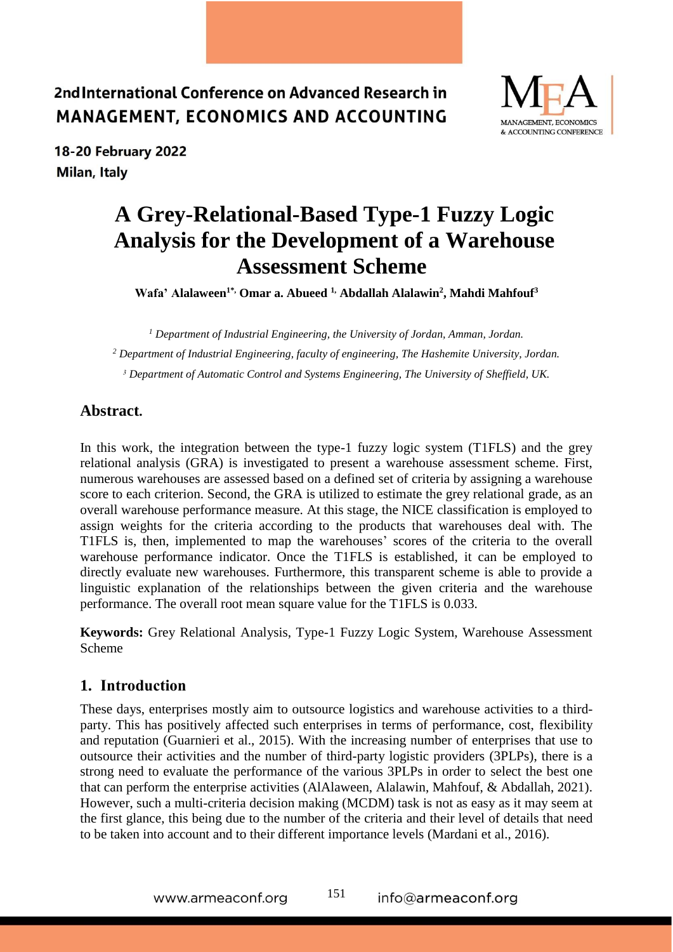

18-20 February 2022 Milan, Italy

# **A Grey-Relational-Based Type-1 Fuzzy Logic Analysis for the Development of a Warehouse Assessment Scheme**

**Wafa' Alalaween1\*, Omar a. Abueed 1, Abdallah Alalawin<sup>2</sup> , Mahdi Mahfouf<sup>3</sup>**

*<sup>1</sup> Department of Industrial Engineering, the University of Jordan, Amman, Jordan. <sup>2</sup> Department of Industrial Engineering, faculty of engineering, The Hashemite University, Jordan. <sup>3</sup> Department of Automatic Control and Systems Engineering, The University of Sheffield, UK.*

### **Abstract.**

In this work, the integration between the type-1 fuzzy logic system (T1FLS) and the grey relational analysis (GRA) is investigated to present a warehouse assessment scheme. First, numerous warehouses are assessed based on a defined set of criteria by assigning a warehouse score to each criterion. Second, the GRA is utilized to estimate the grey relational grade, as an overall warehouse performance measure. At this stage, the NICE classification is employed to assign weights for the criteria according to the products that warehouses deal with. The T1FLS is, then, implemented to map the warehouses' scores of the criteria to the overall warehouse performance indicator. Once the T1FLS is established, it can be employed to directly evaluate new warehouses. Furthermore, this transparent scheme is able to provide a linguistic explanation of the relationships between the given criteria and the warehouse performance. The overall root mean square value for the T1FLS is 0.033.

**Keywords:** Grey Relational Analysis, Type-1 Fuzzy Logic System, Warehouse Assessment Scheme

#### **1. Introduction**

These days, enterprises mostly aim to outsource logistics and warehouse activities to a thirdparty. This has positively affected such enterprises in terms of performance, cost, flexibility and reputation (Guarnieri et al., 2015). With the increasing number of enterprises that use to outsource their activities and the number of third-party logistic providers (3PLPs), there is a strong need to evaluate the performance of the various 3PLPs in order to select the best one that can perform the enterprise activities (AlAlaween, Alalawin, Mahfouf, & Abdallah, 2021). However, such a multi-criteria decision making (MCDM) task is not as easy as it may seem at the first glance, this being due to the number of the criteria and their level of details that need to be taken into account and to their different importance levels (Mardani et al., 2016).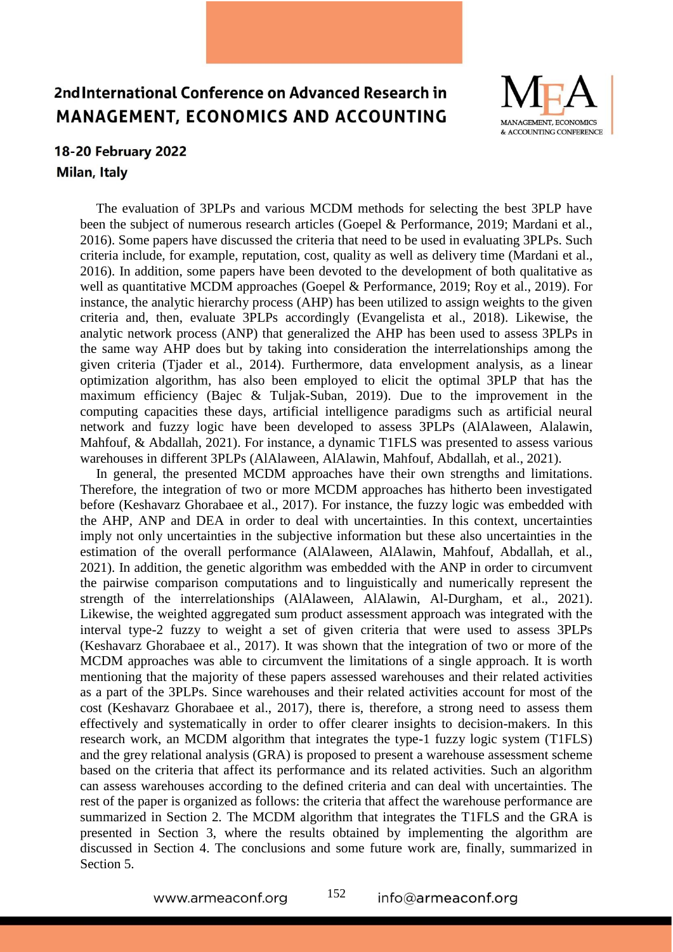

### 18-20 February 2022 Milan, Italy

The evaluation of 3PLPs and various MCDM methods for selecting the best 3PLP have been the subject of numerous research articles (Goepel & Performance, 2019; Mardani et al., 2016). Some papers have discussed the criteria that need to be used in evaluating 3PLPs. Such criteria include, for example, reputation, cost, quality as well as delivery time (Mardani et al., 2016). In addition, some papers have been devoted to the development of both qualitative as well as quantitative MCDM approaches (Goepel & Performance, 2019; Roy et al., 2019). For instance, the analytic hierarchy process (AHP) has been utilized to assign weights to the given criteria and, then, evaluate 3PLPs accordingly (Evangelista et al., 2018). Likewise, the analytic network process (ANP) that generalized the AHP has been used to assess 3PLPs in the same way AHP does but by taking into consideration the interrelationships among the given criteria (Tjader et al., 2014). Furthermore, data envelopment analysis, as a linear optimization algorithm, has also been employed to elicit the optimal 3PLP that has the maximum efficiency (Bajec & Tuljak-Suban, 2019). Due to the improvement in the computing capacities these days, artificial intelligence paradigms such as artificial neural network and fuzzy logic have been developed to assess 3PLPs (AlAlaween, Alalawin, Mahfouf, & Abdallah, 2021). For instance, a dynamic T1FLS was presented to assess various warehouses in different 3PLPs (AlAlaween, AlAlawin, Mahfouf, Abdallah, et al., 2021).

In general, the presented MCDM approaches have their own strengths and limitations. Therefore, the integration of two or more MCDM approaches has hitherto been investigated before (Keshavarz Ghorabaee et al., 2017). For instance, the fuzzy logic was embedded with the AHP, ANP and DEA in order to deal with uncertainties. In this context, uncertainties imply not only uncertainties in the subjective information but these also uncertainties in the estimation of the overall performance (AlAlaween, AlAlawin, Mahfouf, Abdallah, et al., 2021). In addition, the genetic algorithm was embedded with the ANP in order to circumvent the pairwise comparison computations and to linguistically and numerically represent the strength of the interrelationships (AlAlaween, AlAlawin, Al-Durgham, et al., 2021). Likewise, the weighted aggregated sum product assessment approach was integrated with the interval type-2 fuzzy to weight a set of given criteria that were used to assess 3PLPs (Keshavarz Ghorabaee et al., 2017). It was shown that the integration of two or more of the MCDM approaches was able to circumvent the limitations of a single approach. It is worth mentioning that the majority of these papers assessed warehouses and their related activities as a part of the 3PLPs. Since warehouses and their related activities account for most of the cost (Keshavarz Ghorabaee et al., 2017), there is, therefore, a strong need to assess them effectively and systematically in order to offer clearer insights to decision-makers. In this research work, an MCDM algorithm that integrates the type-1 fuzzy logic system (T1FLS) and the grey relational analysis (GRA) is proposed to present a warehouse assessment scheme based on the criteria that affect its performance and its related activities. Such an algorithm can assess warehouses according to the defined criteria and can deal with uncertainties. The rest of the paper is organized as follows: the criteria that affect the warehouse performance are summarized in Section 2. The MCDM algorithm that integrates the T1FLS and the GRA is presented in Section 3, where the results obtained by implementing the algorithm are discussed in Section 4. The conclusions and some future work are, finally, summarized in Section 5.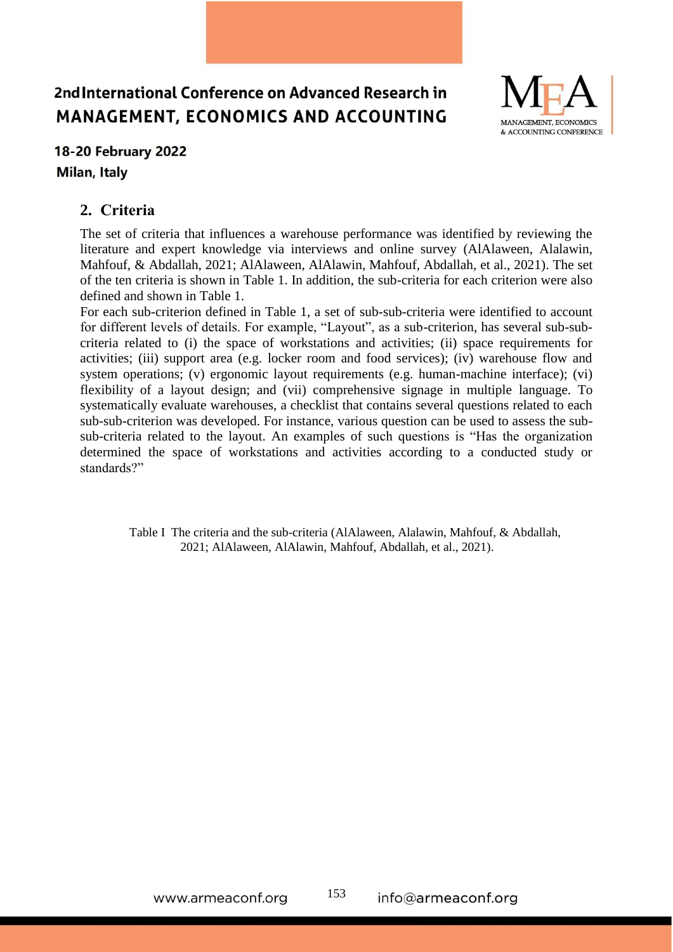

## 18-20 February 2022 Milan, Italy

### **2. Criteria**

The set of criteria that influences a warehouse performance was identified by reviewing the literature and expert knowledge via interviews and online survey (AlAlaween, Alalawin, Mahfouf, & Abdallah, 2021; AlAlaween, AlAlawin, Mahfouf, Abdallah, et al., 2021). The set of the ten criteria is shown in Table 1. In addition, the sub-criteria for each criterion were also defined and shown in Table 1.

For each sub-criterion defined in Table 1, a set of sub-sub-criteria were identified to account for different levels of details. For example, "Layout", as a sub-criterion, has several sub-subcriteria related to (i) the space of workstations and activities; (ii) space requirements for activities; (iii) support area (e.g. locker room and food services); (iv) warehouse flow and system operations; (v) ergonomic layout requirements (e.g. human-machine interface); (vi) flexibility of a layout design; and (vii) comprehensive signage in multiple language. To systematically evaluate warehouses, a checklist that contains several questions related to each sub-sub-criterion was developed. For instance, various question can be used to assess the subsub-criteria related to the layout. An examples of such questions is "Has the organization determined the space of workstations and activities according to a conducted study or standards?"

Table I The criteria and the sub-criteria (AlAlaween, Alalawin, Mahfouf, & Abdallah, 2021; AlAlaween, AlAlawin, Mahfouf, Abdallah, et al., 2021).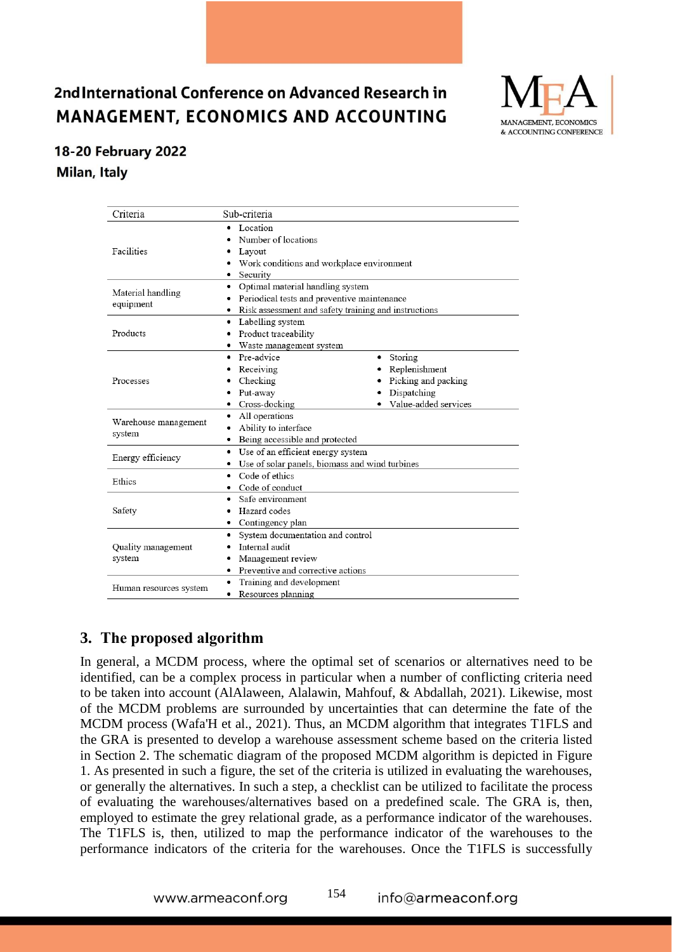

## 18-20 February 2022 Milan, Italy

| Criteria                       | Sub-criteria                                                                                                                                 |                                                                                             |  |  |  |  |  |
|--------------------------------|----------------------------------------------------------------------------------------------------------------------------------------------|---------------------------------------------------------------------------------------------|--|--|--|--|--|
| Facilities                     | Location<br>$\bullet$<br>Number of locations<br>Layout<br>Security<br>$\bullet$                                                              | Work conditions and workplace environment                                                   |  |  |  |  |  |
| Material handling<br>equipment | Optimal material handling system<br>٠<br>Periodical tests and preventive maintenance<br>Risk assessment and safety training and instructions |                                                                                             |  |  |  |  |  |
| Products                       | ٠<br>Product traceability<br>٠<br>• Waste management system                                                                                  | Labelling system                                                                            |  |  |  |  |  |
| Processes                      | • Pre-advice<br>Receiving<br>Checking<br>Put-away<br>Cross-docking<br>٠                                                                      | Storing<br>٠<br>Replenishment<br>Picking and packing<br>Dispatching<br>Value-added services |  |  |  |  |  |
| Warehouse management<br>system | All operations<br>٠<br>Ability to interface<br>٠<br>Being accessible and protected<br>٠                                                      |                                                                                             |  |  |  |  |  |
| Energy efficiency              | Use of an efficient energy system<br>٠<br>Use of solar panels, biomass and wind turbines                                                     |                                                                                             |  |  |  |  |  |
| Ethics                         | Code of ethics<br>$\bullet$<br>• Code of conduct                                                                                             |                                                                                             |  |  |  |  |  |
| Safety                         | Safe environment<br>٠<br>Hazard codes<br>Contingency plan<br>٠                                                                               |                                                                                             |  |  |  |  |  |
| Quality management<br>system   | System documentation and control<br>٠<br>Internal audit<br>Management review<br>Preventive and corrective actions<br>٠                       |                                                                                             |  |  |  |  |  |
| Human resources system         | Training and development<br>٠<br>Resources planning<br>٠                                                                                     |                                                                                             |  |  |  |  |  |

## **3. The proposed algorithm**

In general, a MCDM process, where the optimal set of scenarios or alternatives need to be identified, can be a complex process in particular when a number of conflicting criteria need to be taken into account (AlAlaween, Alalawin, Mahfouf, & Abdallah, 2021). Likewise, most of the MCDM problems are surrounded by uncertainties that can determine the fate of the MCDM process (Wafa'H et al., 2021). Thus, an MCDM algorithm that integrates T1FLS and the GRA is presented to develop a warehouse assessment scheme based on the criteria listed in Section 2. The schematic diagram of the proposed MCDM algorithm is depicted in Figure 1. As presented in such a figure, the set of the criteria is utilized in evaluating the warehouses, or generally the alternatives. In such a step, a checklist can be utilized to facilitate the process of evaluating the warehouses/alternatives based on a predefined scale. The GRA is, then, employed to estimate the grey relational grade, as a performance indicator of the warehouses. The T1FLS is, then, utilized to map the performance indicator of the warehouses to the performance indicators of the criteria for the warehouses. Once the T1FLS is successfully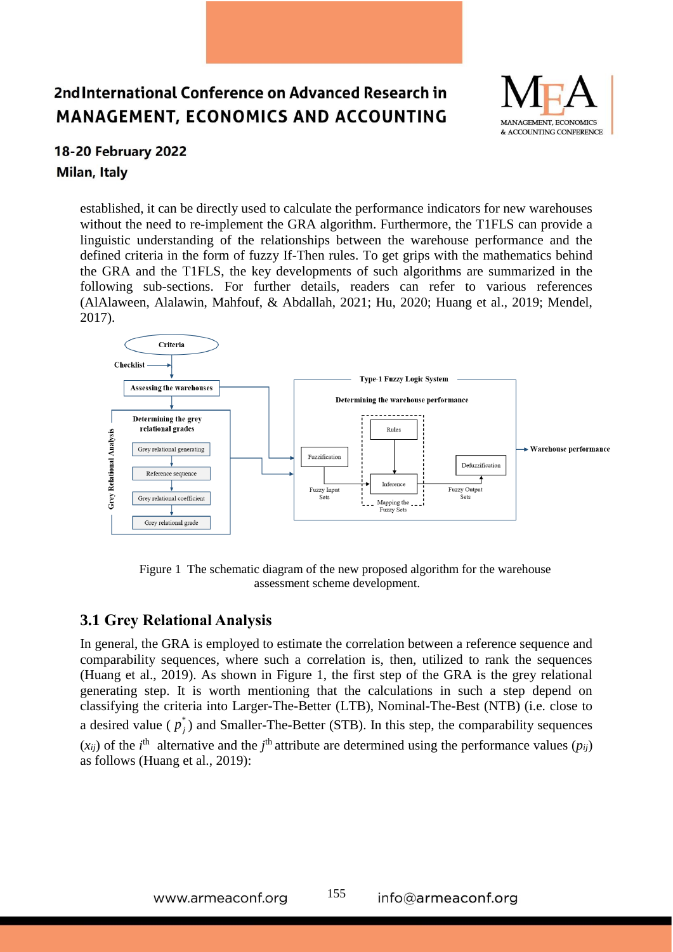

### 18-20 February 2022 Milan, Italy

established, it can be directly used to calculate the performance indicators for new warehouses without the need to re-implement the GRA algorithm. Furthermore, the T1FLS can provide a linguistic understanding of the relationships between the warehouse performance and the defined criteria in the form of fuzzy If-Then rules. To get grips with the mathematics behind the GRA and the T1FLS, the key developments of such algorithms are summarized in the following sub-sections. For further details, readers can refer to various references (AlAlaween, Alalawin, Mahfouf, & Abdallah, 2021; Hu, 2020; Huang et al., 2019; Mendel, 2017).



Figure 1 The schematic diagram of the new proposed algorithm for the warehouse assessment scheme development.

### **3.1 Grey Relational Analysis**

In general, the GRA is employed to estimate the correlation between a reference sequence and comparability sequences, where such a correlation is, then, utilized to rank the sequences (Huang et al., 2019). As shown in Figure 1, the first step of the GRA is the grey relational generating step. It is worth mentioning that the calculations in such a step depend on classifying the criteria into Larger-The-Better (LTB), Nominal-The-Best (NTB) (i.e. close to a desired value ( $p_j^*$ ) and Smaller-The-Better (STB). In this step, the comparability sequences  $(x_{ij})$  of the *i*<sup>th</sup> alternative and the *j*<sup>th</sup> attribute are determined using the performance values  $(p_{ij})$ as follows (Huang et al., 2019):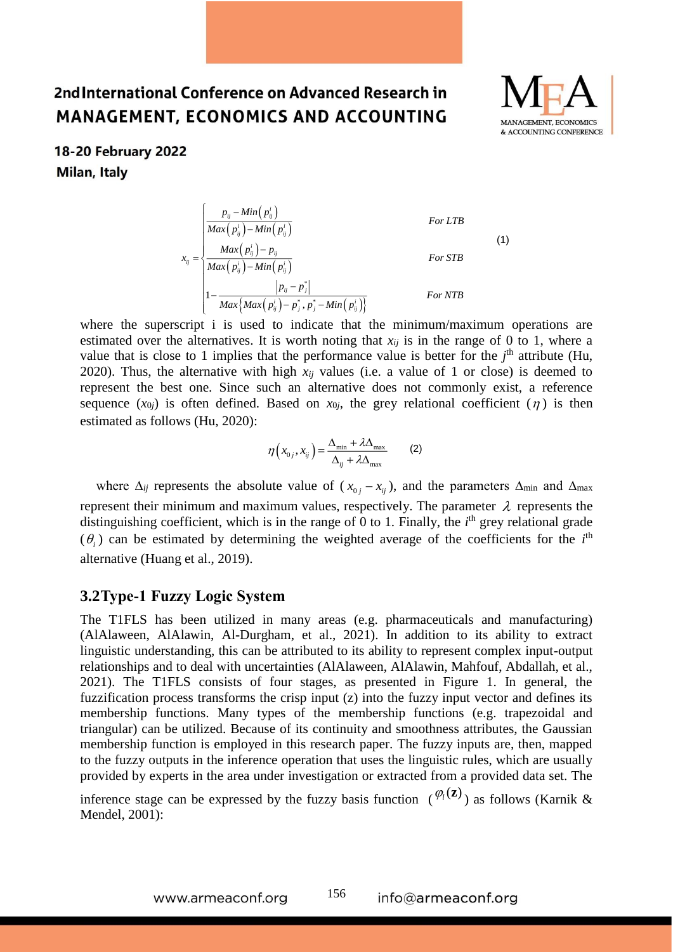

### 18-20 February 2022 Milan, Italy

$$
x_{ij} = \begin{cases}\n\frac{p_{ij} - Min\left(p_{ij}^i\right)}{Max\left(p_{ij}^i\right) - Min\left(p_{ij}^i\right)} & \text{For LTB} \\
\frac{Max\left(p_{ij}^i\right) - Min\left(p_{ij}^i\right)}{Max\left(p_{ij}^i\right) - Min\left(p_{ij}^i\right)} & \text{For STB} \\
1 - \frac{|p_{ij} - p_{j}^*|}{Max\left\{Max\left(p_{ij}^i\right) - p_{j}^*, p_{j}^* - Min\left(p_{ij}^i\right)\right\}} & \text{For NTB}\n\end{cases}
$$

where the superscript i is used to indicate that the minimum/maximum operations are estimated over the alternatives. It is worth noting that  $x_{ii}$  is in the range of 0 to 1, where a value that is close to 1 implies that the performance value is better for the  $j<sup>th</sup>$  attribute (Hu, 2020). Thus, the alternative with high  $x_{ij}$  values (i.e. a value of 1 or close) is deemed to represent the best one. Since such an alternative does not commonly exist, a reference sequence  $(x_{0j})$  is often defined. Based on  $x_{0j}$ , the grey relational coefficient  $(\eta)$  is then estimated as follows (Hu, 2020):

$$
\eta\left(x_{0j}, x_{ij}\right) = \frac{\Delta_{\min} + \lambda \Delta_{\max}}{\Delta_{ij} + \lambda \Delta_{\max}}\tag{2}
$$

where  $\Delta_{ij}$  represents the absolute value of  $(x_{0j} - x_{ij})$ , and the parameters  $\Delta_{min}$  and  $\Delta_{max}$ represent their minimum and maximum values, respectively. The parameter  $\lambda$  represents the distinguishing coefficient, which is in the range of 0 to 1. Finally, the *i*<sup>th</sup> grey relational grade  $(\theta_i)$  can be estimated by determining the weighted average of the coefficients for the *i*<sup>th</sup> alternative (Huang et al., 2019).

#### **3.2Type-1 Fuzzy Logic System**

The T1FLS has been utilized in many areas (e.g. pharmaceuticals and manufacturing) (AlAlaween, AlAlawin, Al-Durgham, et al., 2021). In addition to its ability to extract linguistic understanding, this can be attributed to its ability to represent complex input-output relationships and to deal with uncertainties (AlAlaween, AlAlawin, Mahfouf, Abdallah, et al., 2021). The T1FLS consists of four stages, as presented in Figure 1. In general, the fuzzification process transforms the crisp input (z) into the fuzzy input vector and defines its membership functions. Many types of the membership functions (e.g. trapezoidal and triangular) can be utilized. Because of its continuity and smoothness attributes, the Gaussian membership function is employed in this research paper. The fuzzy inputs are, then, mapped to the fuzzy outputs in the inference operation that uses the linguistic rules, which are usually provided by experts in the area under investigation or extracted from a provided data set. The

inference stage can be expressed by the fuzzy basis function  $(\varphi_i(z))$  as follows (Karnik & Mendel, 2001):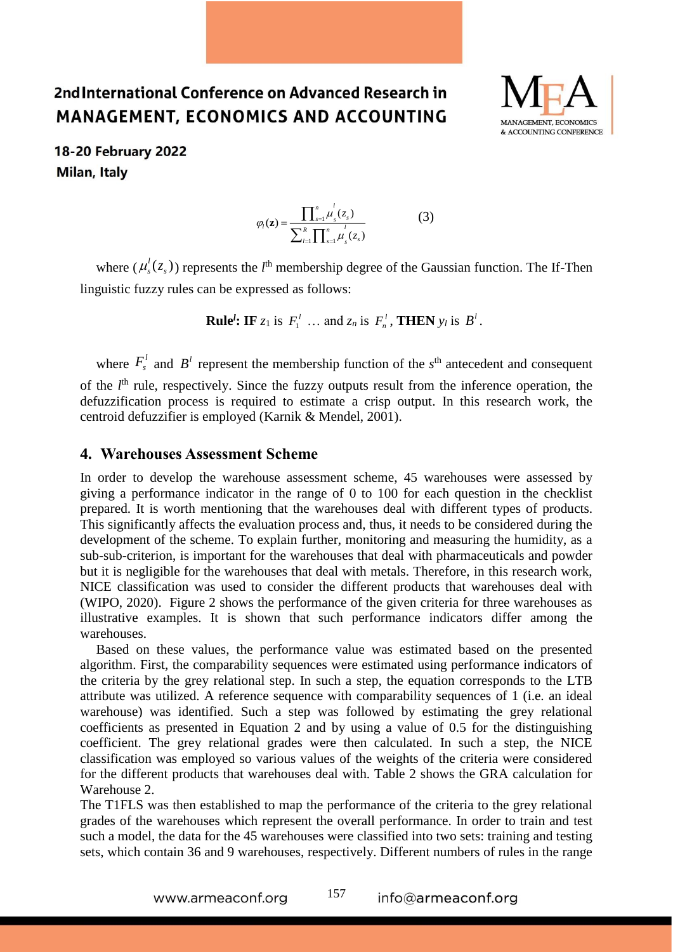

18-20 February 2022 **Milan, Italy** 

$$
\varphi_{l}(\mathbf{z}) = \frac{\prod_{s=1}^{n} \mu_{s}^{l}(z_{s})}{\sum_{l=1}^{R} \prod_{s=1}^{n} \mu_{s}^{l}(z_{s})}
$$
(3)

where  $(\mu_s^l(z_s))$  represents the *l*<sup>th</sup> membership degree of the Gaussian function. The If-Then linguistic fuzzy rules can be expressed as follows:

**Rule<sup>***l***</sup>: IF**  $z_1$  is  $F_1^{\prime}$  ... and  $z_n$  is  $F_n^{\prime}$ , **THEN**  $y_l$  is  $B^{\prime}$ .

where  $F_s^{\prime}$  and  $B^{\prime}$  represent the membership function of the  $s^{\text{th}}$  antecedent and consequent of the *l*<sup>th</sup> rule, respectively. Since the fuzzy outputs result from the inference operation, the defuzzification process is required to estimate a crisp output. In this research work, the centroid defuzzifier is employed (Karnik & Mendel, 2001).

#### **4. Warehouses Assessment Scheme**

In order to develop the warehouse assessment scheme, 45 warehouses were assessed by giving a performance indicator in the range of 0 to 100 for each question in the checklist prepared. It is worth mentioning that the warehouses deal with different types of products. This significantly affects the evaluation process and, thus, it needs to be considered during the development of the scheme. To explain further, monitoring and measuring the humidity, as a sub-sub-criterion, is important for the warehouses that deal with pharmaceuticals and powder but it is negligible for the warehouses that deal with metals. Therefore, in this research work, NICE classification was used to consider the different products that warehouses deal with (WIPO, 2020). Figure 2 shows the performance of the given criteria for three warehouses as illustrative examples. It is shown that such performance indicators differ among the warehouses.

Based on these values, the performance value was estimated based on the presented algorithm. First, the comparability sequences were estimated using performance indicators of the criteria by the grey relational step. In such a step, the equation corresponds to the LTB attribute was utilized. A reference sequence with comparability sequences of 1 (i.e. an ideal warehouse) was identified. Such a step was followed by estimating the grey relational coefficients as presented in Equation 2 and by using a value of 0.5 for the distinguishing coefficient. The grey relational grades were then calculated. In such a step, the NICE classification was employed so various values of the weights of the criteria were considered for the different products that warehouses deal with. Table 2 shows the GRA calculation for Warehouse 2.

The T1FLS was then established to map the performance of the criteria to the grey relational grades of the warehouses which represent the overall performance. In order to train and test such a model, the data for the 45 warehouses were classified into two sets: training and testing sets, which contain 36 and 9 warehouses, respectively. Different numbers of rules in the range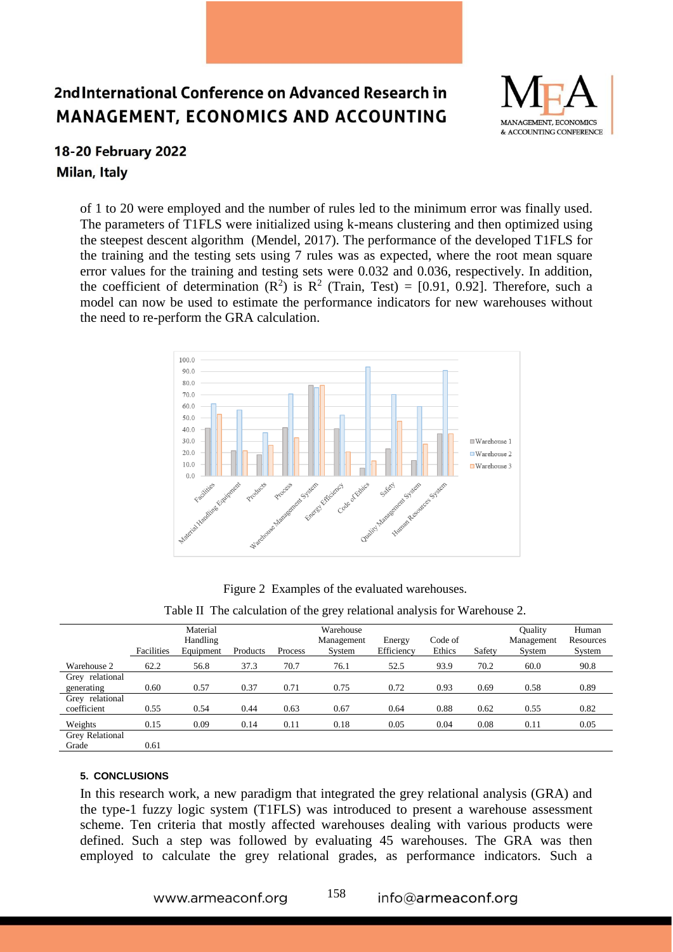

### 18-20 February 2022 Milan, Italy

of 1 to 20 were employed and the number of rules led to the minimum error was finally used. The parameters of T1FLS were initialized using k-means clustering and then optimized using the steepest descent algorithm (Mendel, 2017). The performance of the developed T1FLS for the training and the testing sets using 7 rules was as expected, where the root mean square error values for the training and testing sets were 0.032 and 0.036, respectively. In addition, the coefficient of determination  $(R^2)$  is  $R^2$  (Train, Test) = [0.91, 0.92]. Therefore, such a model can now be used to estimate the performance indicators for new warehouses without the need to re-perform the GRA calculation.



Figure 2 Examples of the evaluated warehouses.

| Table II The calculation of the grey relational analysis for Warehouse 2. |  |  |
|---------------------------------------------------------------------------|--|--|
|                                                                           |  |  |

|                 | Material   |           |          |         | Warehouse  |            |         |        | Ouality    | Human     |
|-----------------|------------|-----------|----------|---------|------------|------------|---------|--------|------------|-----------|
|                 |            | Handling  |          |         | Management | Energy     | Code of |        | Management | Resources |
|                 | Facilities | Equipment | Products | Process | System     | Efficiency | Ethics  | Safety | System     | System    |
| Warehouse 2     | 62.2       | 56.8      | 37.3     | 70.7    | 76.1       | 52.5       | 93.9    | 70.2   | 60.0       | 90.8      |
| Grey relational |            |           |          |         |            |            |         |        |            |           |
| generating      | 0.60       | 0.57      | 0.37     | 0.71    | 0.75       | 0.72       | 0.93    | 0.69   | 0.58       | 0.89      |
| Grey relational |            |           |          |         |            |            |         |        |            |           |
| coefficient     | 0.55       | 0.54      | 0.44     | 0.63    | 0.67       | 0.64       | 0.88    | 0.62   | 0.55       | 0.82      |
| Weights         | 0.15       | 0.09      | 0.14     | 0.11    | 0.18       | 0.05       | 0.04    | 0.08   | 0.11       | 0.05      |
| Grey Relational |            |           |          |         |            |            |         |        |            |           |
| Grade           | 0.61       |           |          |         |            |            |         |        |            |           |

#### **5. CONCLUSIONS**

In this research work, a new paradigm that integrated the grey relational analysis (GRA) and the type-1 fuzzy logic system (T1FLS) was introduced to present a warehouse assessment scheme. Ten criteria that mostly affected warehouses dealing with various products were defined. Such a step was followed by evaluating 45 warehouses. The GRA was then employed to calculate the grey relational grades, as performance indicators. Such a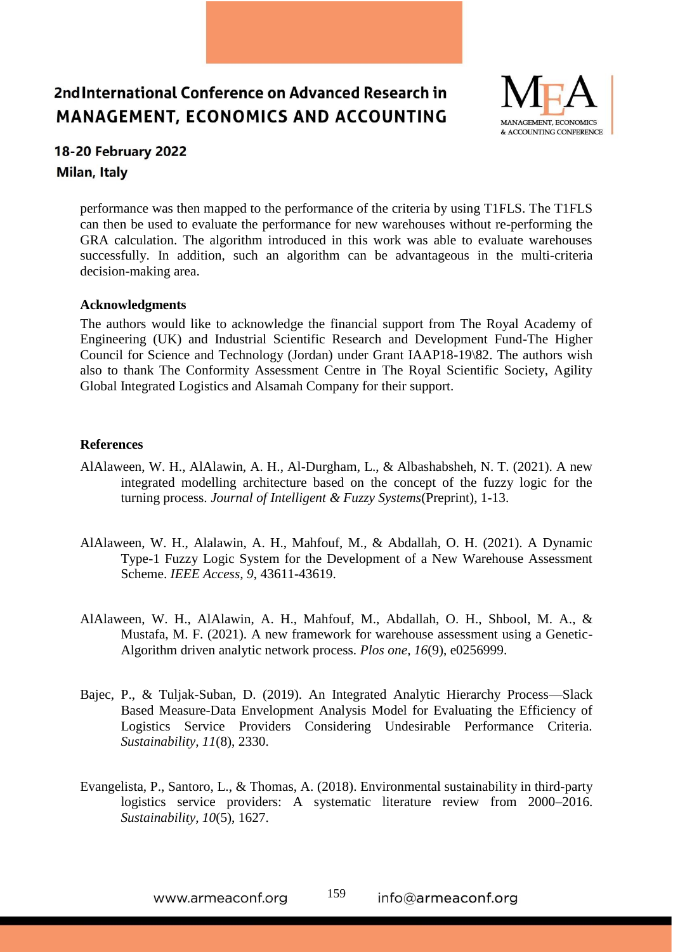

### 18-20 February 2022 Milan, Italy

performance was then mapped to the performance of the criteria by using T1FLS. The T1FLS can then be used to evaluate the performance for new warehouses without re-performing the GRA calculation. The algorithm introduced in this work was able to evaluate warehouses successfully. In addition, such an algorithm can be advantageous in the multi-criteria decision-making area.

#### **Acknowledgments**

The authors would like to acknowledge the financial support from The Royal Academy of Engineering (UK) and Industrial Scientific Research and Development Fund-The Higher Council for Science and Technology (Jordan) under Grant IAAP18-19\82. The authors wish also to thank The Conformity Assessment Centre in The Royal Scientific Society, Agility Global Integrated Logistics and Alsamah Company for their support.

#### **References**

- AlAlaween, W. H., AlAlawin, A. H., Al-Durgham, L., & Albashabsheh, N. T. (2021). A new integrated modelling architecture based on the concept of the fuzzy logic for the turning process. *Journal of Intelligent & Fuzzy Systems*(Preprint), 1-13.
- AlAlaween, W. H., Alalawin, A. H., Mahfouf, M., & Abdallah, O. H. (2021). A Dynamic Type-1 Fuzzy Logic System for the Development of a New Warehouse Assessment Scheme. *IEEE Access, 9*, 43611-43619.
- AlAlaween, W. H., AlAlawin, A. H., Mahfouf, M., Abdallah, O. H., Shbool, M. A., & Mustafa, M. F. (2021). A new framework for warehouse assessment using a Genetic-Algorithm driven analytic network process. *Plos one, 16*(9), e0256999.
- Bajec, P., & Tuljak-Suban, D. (2019). An Integrated Analytic Hierarchy Process—Slack Based Measure-Data Envelopment Analysis Model for Evaluating the Efficiency of Logistics Service Providers Considering Undesirable Performance Criteria. *Sustainability, 11*(8), 2330.
- Evangelista, P., Santoro, L., & Thomas, A. (2018). Environmental sustainability in third-party logistics service providers: A systematic literature review from 2000–2016. *Sustainability, 10*(5), 1627.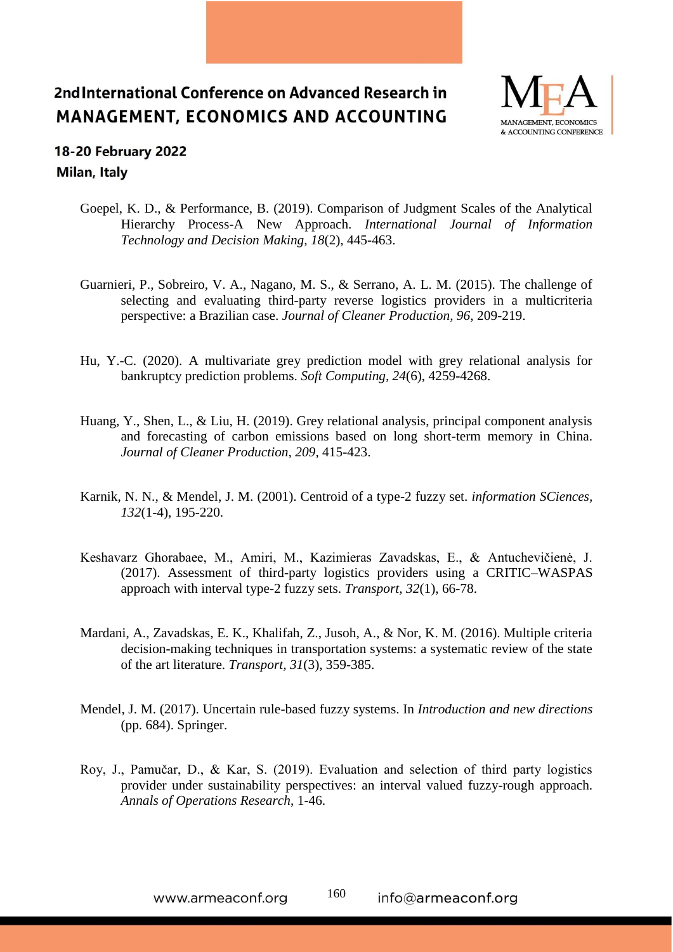

### 18-20 February 2022 Milan, Italy

- Goepel, K. D., & Performance, B. (2019). Comparison of Judgment Scales of the Analytical Hierarchy Process-A New Approach. *International Journal of Information Technology and Decision Making, 18*(2), 445-463.
- Guarnieri, P., Sobreiro, V. A., Nagano, M. S., & Serrano, A. L. M. (2015). The challenge of selecting and evaluating third-party reverse logistics providers in a multicriteria perspective: a Brazilian case. *Journal of Cleaner Production, 96*, 209-219.
- Hu, Y.-C. (2020). A multivariate grey prediction model with grey relational analysis for bankruptcy prediction problems. *Soft Computing, 24*(6), 4259-4268.
- Huang, Y., Shen, L., & Liu, H. (2019). Grey relational analysis, principal component analysis and forecasting of carbon emissions based on long short-term memory in China. *Journal of Cleaner Production, 209*, 415-423.
- Karnik, N. N., & Mendel, J. M. (2001). Centroid of a type-2 fuzzy set. *information SCiences, 132*(1-4), 195-220.
- Keshavarz Ghorabaee, M., Amiri, M., Kazimieras Zavadskas, E., & Antuchevičienė, J. (2017). Assessment of third-party logistics providers using a CRITIC–WASPAS approach with interval type-2 fuzzy sets. *Transport, 32*(1), 66-78.
- Mardani, A., Zavadskas, E. K., Khalifah, Z., Jusoh, A., & Nor, K. M. (2016). Multiple criteria decision-making techniques in transportation systems: a systematic review of the state of the art literature. *Transport, 31*(3), 359-385.
- Mendel, J. M. (2017). Uncertain rule-based fuzzy systems. In *Introduction and new directions* (pp. 684). Springer.
- Roy, J., Pamučar, D., & Kar, S. (2019). Evaluation and selection of third party logistics provider under sustainability perspectives: an interval valued fuzzy-rough approach. *Annals of Operations Research*, 1-46.